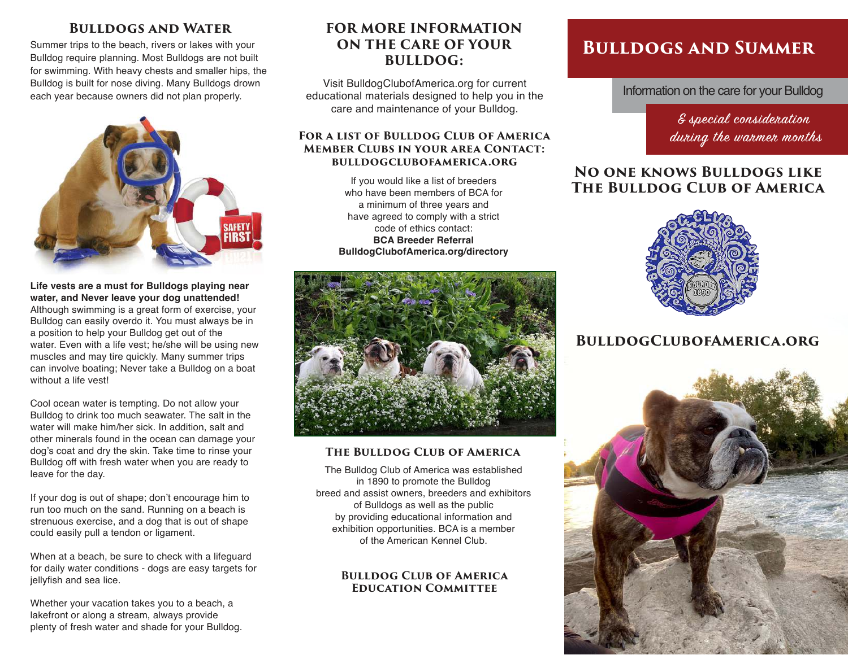## **Bulldogs and Water**

Summer trips to the beach, rivers or lakes with your Bulldog require planning. Most Bulldogs are not built for swimming. With heavy chests and smaller hips, the Bulldog is built for nose diving. Many Bulldogs drown each year because owners did not plan properly.



**Life vests are a must for Bulldogs playing near water, and Never leave your dog unattended!**  Although swimming is a great form of exercise, your Bulldog can easily overdo it. You must always be in a position to help your Bulldog get out of the water. Even with a life vest; he/she will be using new muscles and may tire quickly. Many summer trips can involve boating; Never take a Bulldog on a boat without a life vest!

Cool ocean water is tempting. Do not allow your Bulldog to drink too much seawater. The salt in the water will make him/her sick. In addition, salt and other minerals found in the ocean can damage your dog's coat and dry the skin. Take time to rinse your Bulldog off with fresh water when you are ready to leave for the day.

If your dog is out of shape; don't encourage him to run too much on the sand. Running on a beach is strenuous exercise, and a dog that is out of shape could easily pull a tendon or ligament.

When at a beach, be sure to check with a lifeguard for daily water conditions - dogs are easy targets for jellyfish and sea lice.

Whether your vacation takes you to a beach, a lakefront or along a stream, always provide plenty of fresh water and shade for your Bulldog.

## **FOR MORE INFORMATION ON THE CARE OF YOUR BULLDOG:**

Visit BulldogClubofAmerica.org for current educational materials designed to help you in the care and maintenance of your Bulldog.

### **For a list of Bulldog Club of America Member Clubs in your area Contact: bulldogclubofamerica.org**

If you would like a list of breeders who have been members of BCA for a minimum of three years and have agreed to comply with a strict code of ethics contact: **BCA Breeder Referral BulldogClubofAmerica.org/directory**



### **The Bulldog Club of America**

The Bulldog Club of America was established in 1890 to promote the Bulldog breed and assist owners, breeders and exhibitors of Bulldogs as well as the public by providing educational information and exhibition opportunities. BCA is a member of the American Kennel Club.

#### **Bulldog Club of America Education Committee**

# **Bulldogs and Summer**

Information on the care for your Bulldog

& special consideration during the warmer months

## **No one knows Bulldogs like The Bulldog Club of America**



## **BulldogClubofAmerica.org**